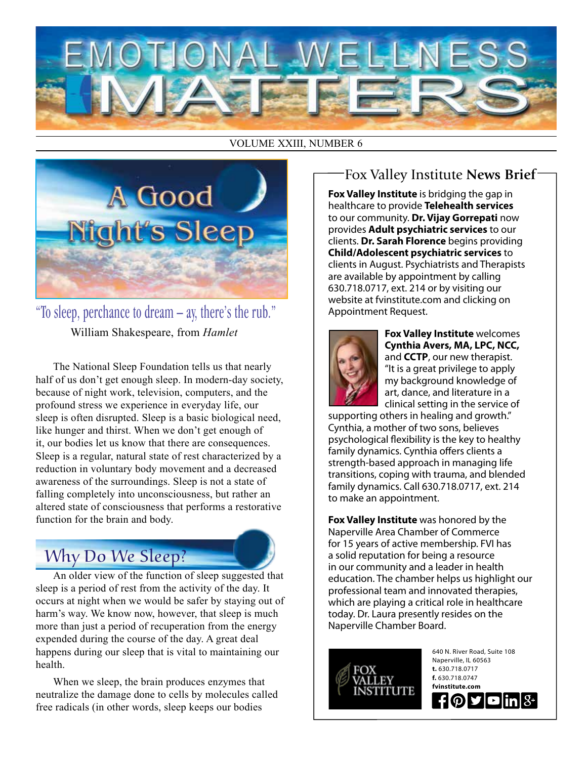

#### VOLUME XXIII, NUMBER 6



"To sleep, perchance to dream – ay, there's the rub." William Shakespeare, from *Hamlet*

The National Sleep Foundation tells us that nearly half of us don't get enough sleep. In modern-day society, because of night work, television, computers, and the profound stress we experience in everyday life, our sleep is often disrupted. Sleep is a basic biological need, like hunger and thirst. When we don't get enough of it, our bodies let us know that there are consequences. Sleep is a regular, natural state of rest characterized by a reduction in voluntary body movement and a decreased awareness of the surroundings. Sleep is not a state of falling completely into unconsciousness, but rather an altered state of consciousness that performs a restorative function for the brain and body.

## Why Do We Sleep?

An older view of the function of sleep suggested that sleep is a period of rest from the activity of the day. It occurs at night when we would be safer by staying out of harm's way. We know now, however, that sleep is much more than just a period of recuperation from the energy expended during the course of the day. A great deal happens during our sleep that is vital to maintaining our health.

When we sleep, the brain produces enzymes that neutralize the damage done to cells by molecules called free radicals (in other words, sleep keeps our bodies

#### Fox Valley Institute **News Brief**

**Fox Valley Institute** is bridging the gap in healthcare to provide **Telehealth services** to our community. **Dr. Vijay Gorrepati** now provides **Adult psychiatric services** to our clients. **Dr. Sarah Florence** begins providing **Child/Adolescent psychiatric services** to clients in August. Psychiatrists and Therapists are available by appointment by calling 630.718.0717, ext. 214 or by visiting our website at fvinstitute.com and clicking on Appointment Request.



**Fox Valley Institute** welcomes **Cynthia Avers, MA, LPC, NCC,**  and **CCTP**, our new therapist. "It is a great privilege to apply my background knowledge of art, dance, and literature in a clinical setting in the service of

supporting others in healing and growth." Cynthia, a mother of two sons, believes psychological flexibility is the key to healthy family dynamics. Cynthia offers clients a strength-based approach in managing life transitions, coping with trauma, and blended family dynamics. Call 630.718.0717, ext. 214 to make an appointment.

**Fox Valley Institute** was honored by the Naperville Area Chamber of Commerce for 15 years of active membership. FVI has a solid reputation for being a resource in our community and a leader in health education. The chamber helps us highlight our professional team and innovated therapies, which are playing a critical role in healthcare today. Dr. Laura presently resides on the Naperville Chamber Board.



640 N. River Road, Suite 108 Naperville, IL 60563 **t.** 630.718.0717 **f.** 630.718.0747 **fvinstitute.com**  $f$  $Q$  $g$  $\blacksquare$ in $|8 \cdot |$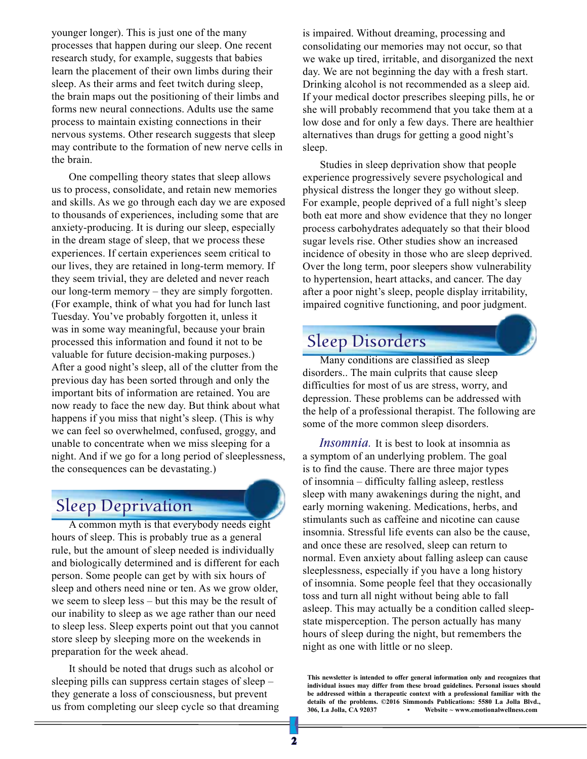younger longer). This is just one of the many processes that happen during our sleep. One recent research study, for example, suggests that babies learn the placement of their own limbs during their sleep. As their arms and feet twitch during sleep, the brain maps out the positioning of their limbs and forms new neural connections. Adults use the same process to maintain existing connections in their nervous systems. Other research suggests that sleep may contribute to the formation of new nerve cells in the brain.

One compelling theory states that sleep allows us to process, consolidate, and retain new memories and skills. As we go through each day we are exposed to thousands of experiences, including some that are anxiety-producing. It is during our sleep, especially in the dream stage of sleep, that we process these experiences. If certain experiences seem critical to our lives, they are retained in long-term memory. If they seem trivial, they are deleted and never reach our long-term memory – they are simply forgotten. (For example, think of what you had for lunch last Tuesday. You've probably forgotten it, unless it was in some way meaningful, because your brain processed this information and found it not to be valuable for future decision-making purposes.) After a good night's sleep, all of the clutter from the previous day has been sorted through and only the important bits of information are retained. You are now ready to face the new day. But think about what happens if you miss that night's sleep. (This is why we can feel so overwhelmed, confused, groggy, and unable to concentrate when we miss sleeping for a night. And if we go for a long period of sleeplessness, the consequences can be devastating.)

### Sleep Deprivation

A common myth is that everybody needs eight hours of sleep. This is probably true as a general rule, but the amount of sleep needed is individually and biologically determined and is different for each person. Some people can get by with six hours of sleep and others need nine or ten. As we grow older, we seem to sleep less – but this may be the result of our inability to sleep as we age rather than our need to sleep less. Sleep experts point out that you cannot store sleep by sleeping more on the weekends in preparation for the week ahead.

It should be noted that drugs such as alcohol or sleeping pills can suppress certain stages of sleep – they generate a loss of consciousness, but prevent us from completing our sleep cycle so that dreaming is impaired. Without dreaming, processing and consolidating our memories may not occur, so that we wake up tired, irritable, and disorganized the next day. We are not beginning the day with a fresh start. Drinking alcohol is not recommended as a sleep aid. If your medical doctor prescribes sleeping pills, he or she will probably recommend that you take them at a low dose and for only a few days. There are healthier alternatives than drugs for getting a good night's sleep.

Studies in sleep deprivation show that people experience progressively severe psychological and physical distress the longer they go without sleep. For example, people deprived of a full night's sleep both eat more and show evidence that they no longer process carbohydrates adequately so that their blood sugar levels rise. Other studies show an increased incidence of obesity in those who are sleep deprived. Over the long term, poor sleepers show vulnerability to hypertension, heart attacks, and cancer. The day after a poor night's sleep, people display irritability, impaired cognitive functioning, and poor judgment.

## Sleep Disorders

Many conditions are classified as sleep disorders.. The main culprits that cause sleep difficulties for most of us are stress, worry, and depression. These problems can be addressed with the help of a professional therapist. The following are some of the more common sleep disorders.

*Insomnia.* It is best to look at insomnia as a symptom of an underlying problem. The goal is to find the cause. There are three major types of insomnia – difficulty falling asleep, restless sleep with many awakenings during the night, and early morning wakening. Medications, herbs, and stimulants such as caffeine and nicotine can cause insomnia. Stressful life events can also be the cause, and once these are resolved, sleep can return to normal. Even anxiety about falling asleep can cause sleeplessness, especially if you have a long history of insomnia. Some people feel that they occasionally toss and turn all night without being able to fall asleep. This may actually be a condition called sleepstate misperception. The person actually has many hours of sleep during the night, but remembers the night as one with little or no sleep.

**This newsletter is intended to offer general information only and recognizes that individual issues may differ from these broad guidelines. Personal issues should be addressed within a therapeutic context with a professional familiar with the details of the problems. ©2016 Simmonds Publications: 5580 La Jolla Blvd., 306, La Jolla, CA 92037 • Website ~ www.emotionalwellness.com**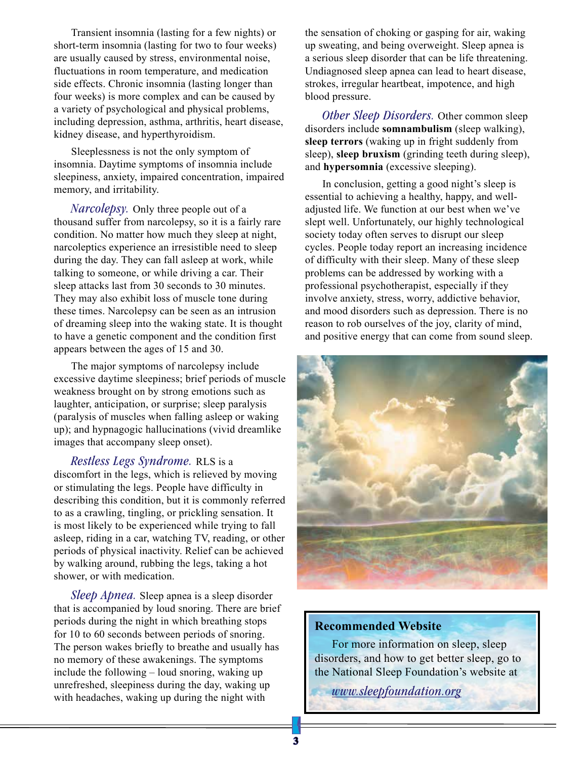Transient insomnia (lasting for a few nights) or short-term insomnia (lasting for two to four weeks) are usually caused by stress, environmental noise, fluctuations in room temperature, and medication side effects. Chronic insomnia (lasting longer than four weeks) is more complex and can be caused by a variety of psychological and physical problems, including depression, asthma, arthritis, heart disease, kidney disease, and hyperthyroidism.

Sleeplessness is not the only symptom of insomnia. Daytime symptoms of insomnia include sleepiness, anxiety, impaired concentration, impaired memory, and irritability.

*Narcolepsy.* Only three people out of a thousand suffer from narcolepsy, so it is a fairly rare condition. No matter how much they sleep at night, narcoleptics experience an irresistible need to sleep during the day. They can fall asleep at work, while talking to someone, or while driving a car. Their sleep attacks last from 30 seconds to 30 minutes. They may also exhibit loss of muscle tone during these times. Narcolepsy can be seen as an intrusion of dreaming sleep into the waking state. It is thought to have a genetic component and the condition first appears between the ages of 15 and 30.

The major symptoms of narcolepsy include excessive daytime sleepiness; brief periods of muscle weakness brought on by strong emotions such as laughter, anticipation, or surprise; sleep paralysis (paralysis of muscles when falling asleep or waking up); and hypnagogic hallucinations (vivid dreamlike images that accompany sleep onset).

*Restless Legs Syndrome.* RLS is a discomfort in the legs, which is relieved by moving

or stimulating the legs. People have difficulty in describing this condition, but it is commonly referred to as a crawling, tingling, or prickling sensation. It is most likely to be experienced while trying to fall asleep, riding in a car, watching TV, reading, or other periods of physical inactivity. Relief can be achieved by walking around, rubbing the legs, taking a hot shower, or with medication.

*Sleep Apnea.* Sleep apnea is a sleep disorder that is accompanied by loud snoring. There are brief periods during the night in which breathing stops for 10 to 60 seconds between periods of snoring. The person wakes briefly to breathe and usually has no memory of these awakenings. The symptoms include the following – loud snoring, waking up unrefreshed, sleepiness during the day, waking up with headaches, waking up during the night with

the sensation of choking or gasping for air, waking up sweating, and being overweight. Sleep apnea is a serious sleep disorder that can be life threatening. Undiagnosed sleep apnea can lead to heart disease, strokes, irregular heartbeat, impotence, and high blood pressure.

*Other Sleep Disorders.* Other common sleep disorders include **somnambulism** (sleep walking), **sleep terrors** (waking up in fright suddenly from sleep), **sleep bruxism** (grinding teeth during sleep), and **hypersomnia** (excessive sleeping).

In conclusion, getting a good night's sleep is essential to achieving a healthy, happy, and welladjusted life. We function at our best when we've slept well. Unfortunately, our highly technological society today often serves to disrupt our sleep cycles. People today report an increasing incidence of difficulty with their sleep. Many of these sleep problems can be addressed by working with a professional psychotherapist, especially if they involve anxiety, stress, worry, addictive behavior, and mood disorders such as depression. There is no reason to rob ourselves of the joy, clarity of mind, and positive energy that can come from sound sleep.



#### **Recommended Website**

For more information on sleep, sleep disorders, and how to get better sleep, go to the National Sleep Foundation's website at

*www.sleepfoundation.org*